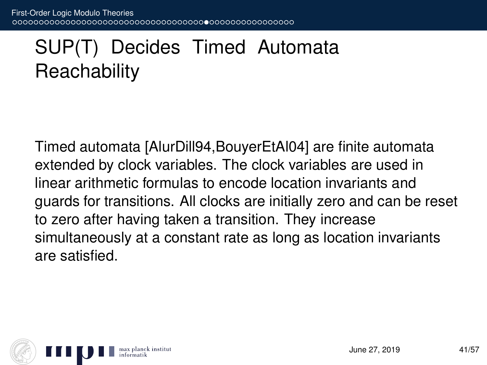## SUP(T) Decides Timed Automata **Reachability**

Timed automata [AlurDill94,BouyerEtAl04] are finite automata extended by clock variables. The clock variables are used in linear arithmetic formulas to encode location invariants and guards for transitions. All clocks are initially zero and can be reset to zero after having taken a transition. They increase simultaneously at a constant rate as long as location invariants are satisfied.

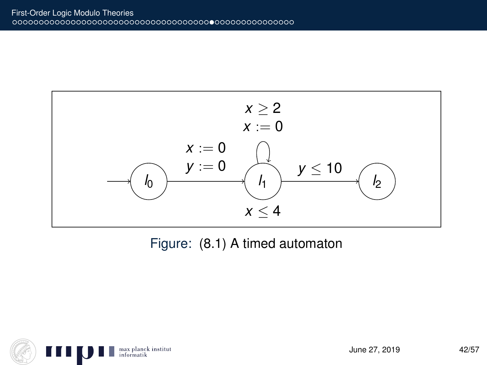

Figure: (8.1) A timed automaton

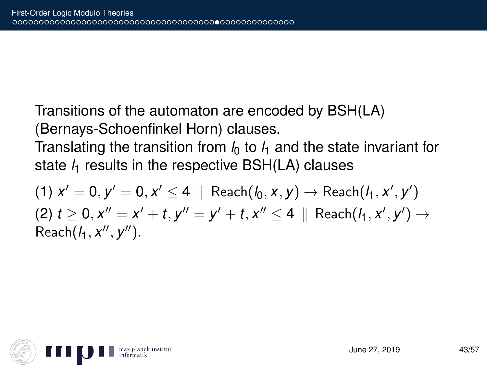Transitions of the automaton are encoded by BSH(LA) (Bernays-Schoenfinkel Horn) clauses.

Translating the transition from  $l_0$  to  $l_1$  and the state invariant for state  $l_1$  results in the respective BSH(LA) clauses

 $(1)$   $x' = 0, y' = 0, x' \le 4 \parallel$  Reach $(l_0, x, y) \rightarrow$  Reach $(l_1, x', y')$  $(2)$   $t \ge 0$ ,  $x'' = x' + t$ ,  $y'' = y' + t$ ,  $x'' \le 4 \parallel$  Reach $(h, x', y') \rightarrow$ Reach( $l_1, x'', y'$ ).

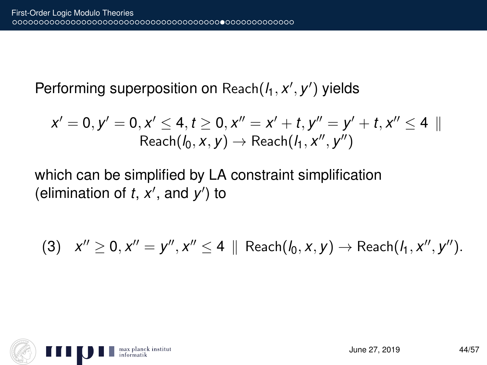Performing superposition on Reach( $l_1, x', y'$ ) yields

$$
x'=0, y'=0, x'\leq 4, t\geq 0, x''=x'+t, y''=y'+t, x''\leq 4\parallel \text{Reach}(I_0, x, y)\rightarrow \text{Reach}(I_1, x'', y'')
$$

which can be simplified by LA constraint simplification (elimination of  $t$ ,  $x'$ , and  $y'$ ) to

$$
(3) \quad x'' \geq 0, x'' = y'', x'' \leq 4 \|\text{Reach}(I_0, x, y) \to \text{Reach}(I_1, x'', y'').
$$

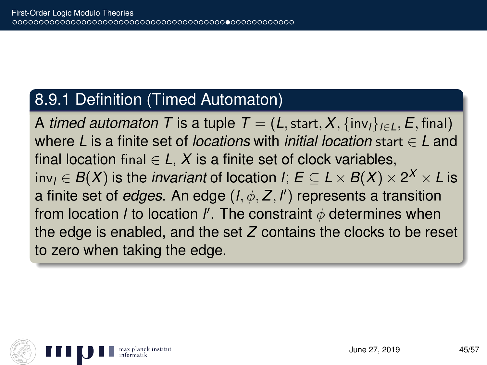#### 8.9.1 Definition (Timed Automaton)

A *timed automaton* T is a tuple  $T = (L, \text{start}, X, \{\text{inv}_l\}_{l \in I}, E, \text{final})$ where *L* is a finite set of *locations* with *initial location* start ∈ *L* and final location final  $\in$  *L*, *X* is a finite set of clock variables,  $\mathsf{inv}_I \in B(X)$  is the *invariant* of location *l*;  $E \subseteq L \times B(X) \times 2^X \times L$  is a finite set of *edges*. An edge (*l*, φ, *Z*, *l* 0 ) represents a transition from location *l* to location *l'*. The constraint  $\phi$  determines when the edge is enabled, and the set *Z* contains the clocks to be reset to zero when taking the edge.

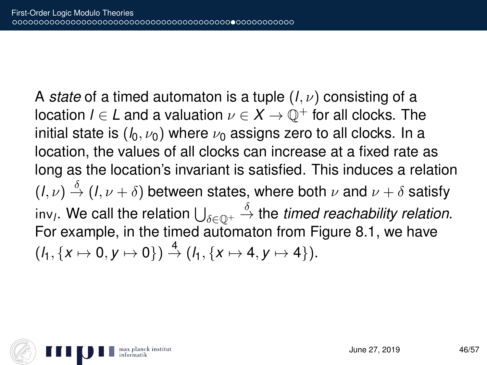A *state* of a timed automaton is a tuple (*l*, ν) consisting of a location  $l \in L$  and a valuation  $v \in X \to \mathbb{O}^+$  for all clocks. The initial state is  $(h, \nu_0)$  where  $\nu_0$  assigns zero to all clocks. In a location, the values of all clocks can increase at a fixed rate as long as the location's invariant is satisfied. This induces a relation  $(l, \nu) \stackrel{\delta}{\rightarrow} (l, \nu + \delta)$  between states, where both  $\nu$  and  $\nu + \delta$  satisfy inv<sub>l</sub>. We call the relation  $\bigcup_{\delta\in\mathbb{Q}^+}\stackrel{\delta}{\to}$  the *timed reachability relation*. For example, in the timed automaton from Figure 8.1, we have  $(f_1, \{x \mapsto 0, y \mapsto 0\}) \stackrel{4}{\rightarrow} (f_1, \{x \mapsto 4, y \mapsto 4\}).$ 

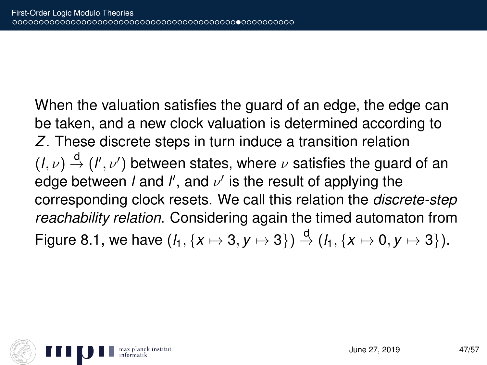When the valuation satisfies the guard of an edge, the edge can be taken, and a new clock valuation is determined according to *Z*. These discrete steps in turn induce a transition relation  $(l, \nu) \stackrel{d}{\rightarrow} (l', \nu')$  between states, where  $\nu$  satisfies the guard of an edge between *l* and  $l'$ , and  $\nu'$  is the result of applying the corresponding clock resets. We call this relation the *discrete-step reachability relation*. Considering again the timed automaton from Figure 8.1, we have  $(l_1, \{x \mapsto 3, y \mapsto 3\}) \stackrel{d}{\rightarrow} (l_1, \{x \mapsto 0, y \mapsto 3\}).$ 

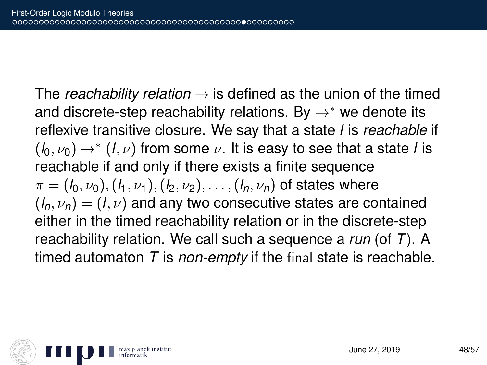The *reachability relation*  $\rightarrow$  is defined as the union of the timed and discrete-step reachability relations. By  $\rightarrow^*$  we denote its reflexive transitive closure. We say that a state *l* is *reachable* if  $(\mathit{l}_0,\nu_0) \rightarrow^* (\mathit{l},\nu)$  from some  $\nu.$  It is easy to see that a state *l* is reachable if and only if there exists a finite sequence  $\pi = (l_0, \nu_0), (l_1, \nu_1), (l_2, \nu_2), \ldots, (l_n, \nu_n)$  of states where  $(l_n, \nu_n) = (l, \nu)$  and any two consecutive states are contained either in the timed reachability relation or in the discrete-step reachability relation. We call such a sequence a *run* (of *T*). A timed automaton *T* is *non-empty* if the final state is reachable.

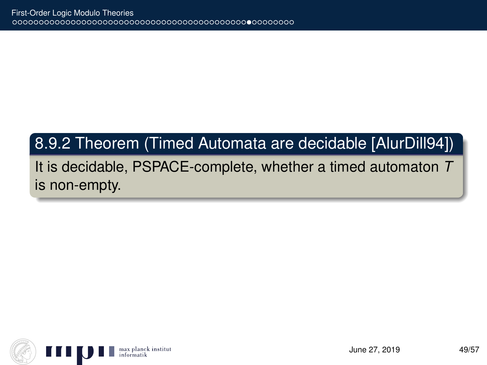### 8.9.2 Theorem (Timed Automata are decidable [AlurDill94])

It is decidable, PSPACE-complete, whether a timed automaton *T* is non-empty.

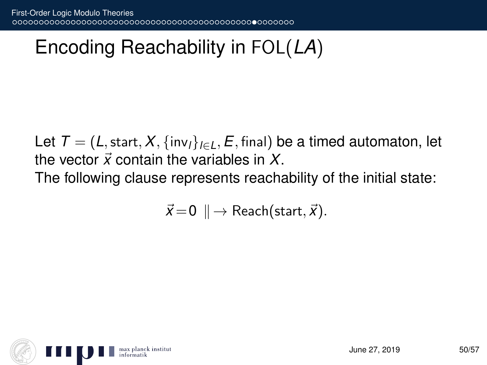# Encoding Reachability in FOL(*LA*)

Let  $T = (L, \text{start}, X, \{\text{inv}_l\}_{l \in L}, E, \text{final})$  be a timed automaton, let the vector  $\vec{x}$  contain the variables in  $X$ . The following clause represents reachability of the initial state:

$$
\vec{x} = 0 \parallel \rightarrow \text{Reach}(\text{start}, \vec{x}).
$$

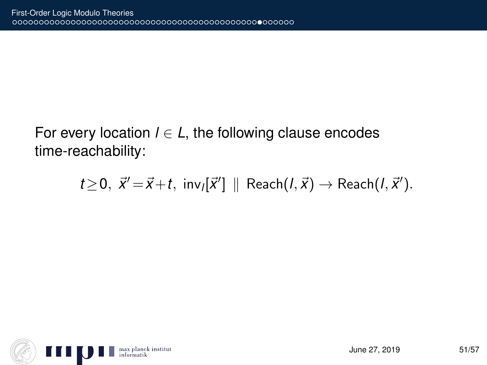#### For every location  $l \in L$ , the following clause encodes time-reachability:

$$
t\geq 0, \ \vec{x}'=\vec{x}+t, \ \text{inv}_{l}[\vec{x}'] \ \parallel \ \text{Reach}(l, \vec{x}) \rightarrow \text{Reach}(l, \vec{x}').
$$

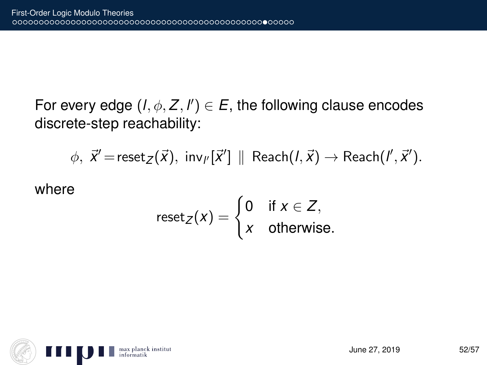For every edge  $(I, \phi, Z, I') \in E$ , the following clause encodes discrete-step reachability:

 $\phi, \ \vec{x}' = \mathsf{reset}_\mathcal{Z}(\vec{x}), \ \mathsf{inv}_{l'}[\vec{x}'] \parallel \mathsf{Reach}(l, \vec{x}) \rightarrow \mathsf{Reach}(l', \vec{x}').$ 

where

$$
\text{reset}_Z(x) = \begin{cases} 0 & \text{if } x \in Z, \\ x & \text{otherwise.} \end{cases}
$$

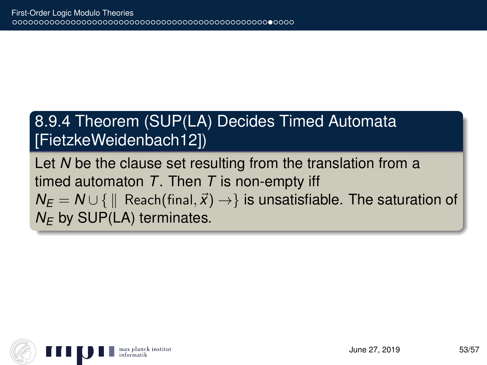### 8.9.4 Theorem (SUP(LA) Decides Timed Automata [FietzkeWeidenbach12])

Let *N* be the clause set resulting from the translation from a timed automaton *T*. Then *T* is non-empty iff  $N_E = N \cup \{ \parallel$  Reach(final,  $\vec{x}$ ) → *i*s unsatisfiable. The saturation of  $N_F$  by SUP(LA) terminates.